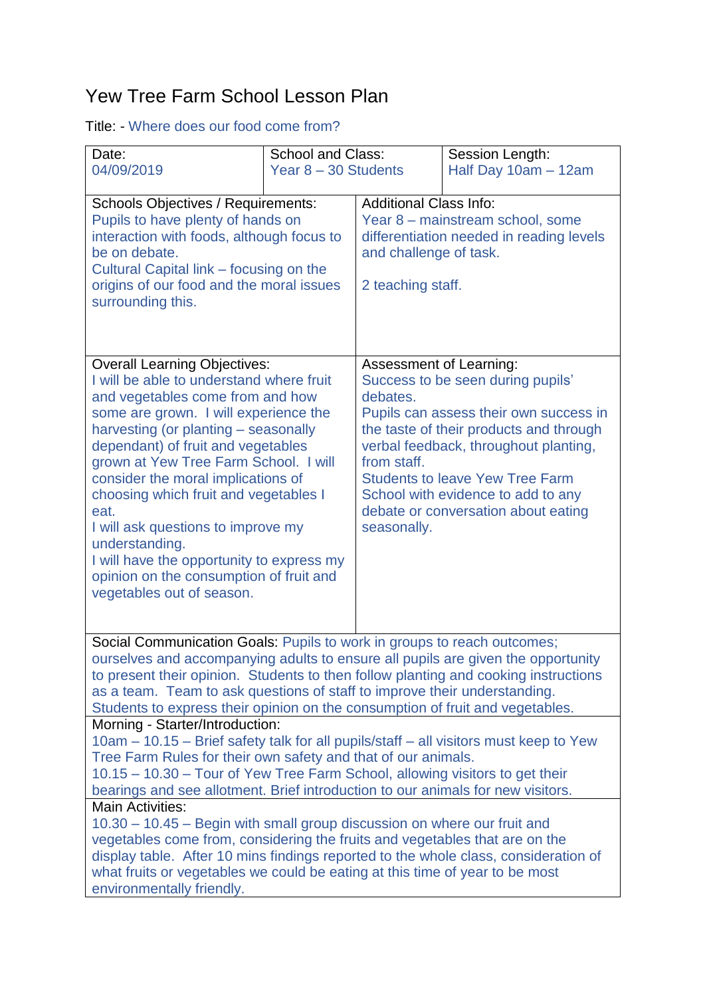## Yew Tree Farm School Lesson Plan

## Title: - Where does our food come from?

| Date:<br>04/09/2019                                                                                                                                                                                                                                                                                                                                                                                                                                                                                                                                     | <b>School and Class:</b><br>Year 8 - 30 Students |                                                                                                                                                                                                                                                                                                                                                             | Session Length:<br>Half Day 10am - 12am |  |
|---------------------------------------------------------------------------------------------------------------------------------------------------------------------------------------------------------------------------------------------------------------------------------------------------------------------------------------------------------------------------------------------------------------------------------------------------------------------------------------------------------------------------------------------------------|--------------------------------------------------|-------------------------------------------------------------------------------------------------------------------------------------------------------------------------------------------------------------------------------------------------------------------------------------------------------------------------------------------------------------|-----------------------------------------|--|
| <b>Schools Objectives / Requirements:</b><br>Pupils to have plenty of hands on<br>interaction with foods, although focus to<br>be on debate.<br>Cultural Capital link – focusing on the<br>origins of our food and the moral issues<br>surrounding this.                                                                                                                                                                                                                                                                                                |                                                  | <b>Additional Class Info:</b><br>Year 8 - mainstream school, some<br>differentiation needed in reading levels<br>and challenge of task.<br>2 teaching staff.                                                                                                                                                                                                |                                         |  |
| <b>Overall Learning Objectives:</b><br>I will be able to understand where fruit<br>and vegetables come from and how<br>some are grown. I will experience the<br>harvesting (or planting - seasonally<br>dependant) of fruit and vegetables<br>grown at Yew Tree Farm School. I will<br>consider the moral implications of<br>choosing which fruit and vegetables I<br>eat.<br>I will ask questions to improve my<br>understanding.<br>I will have the opportunity to express my<br>opinion on the consumption of fruit and<br>vegetables out of season. |                                                  | Assessment of Learning:<br>Success to be seen during pupils'<br>debates.<br>Pupils can assess their own success in<br>the taste of their products and through<br>verbal feedback, throughout planting,<br>from staff.<br><b>Students to leave Yew Tree Farm</b><br>School with evidence to add to any<br>debate or conversation about eating<br>seasonally. |                                         |  |
| Social Communication Goals: Pupils to work in groups to reach outcomes;<br>ourselves and accompanying adults to ensure all pupils are given the opportunity<br>to present their opinion. Students to then follow planting and cooking instructions<br>as a team. Team to ask questions of staff to improve their understanding.<br>Students to express their opinion on the consumption of fruit and vegetables.                                                                                                                                        |                                                  |                                                                                                                                                                                                                                                                                                                                                             |                                         |  |
| Morning - Starter/Introduction:<br>10am - 10.15 - Brief safety talk for all pupils/staff - all visitors must keep to Yew<br>Tree Farm Rules for their own safety and that of our animals.<br>10.15 – 10.30 – Tour of Yew Tree Farm School, allowing visitors to get their<br>bearings and see allotment. Brief introduction to our animals for new visitors.                                                                                                                                                                                            |                                                  |                                                                                                                                                                                                                                                                                                                                                             |                                         |  |
| Main Activities:<br>10.30 - 10.45 - Begin with small group discussion on where our fruit and<br>vegetables come from, considering the fruits and vegetables that are on the<br>display table. After 10 mins findings reported to the whole class, consideration of<br>what fruits or vegetables we could be eating at this time of year to be most<br>environmentally friendly.                                                                                                                                                                         |                                                  |                                                                                                                                                                                                                                                                                                                                                             |                                         |  |